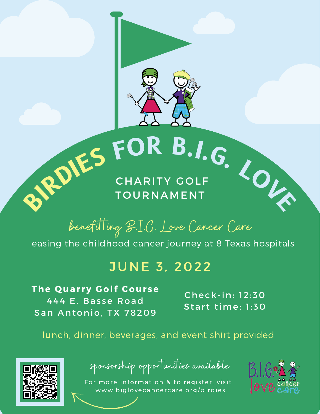

# **B**.I.G. LONDIES FOR B.I.G. LONDIES FOR B.I.G. CHARITY GOLF

### **TOURNAMENT**

benefit ing B.I.G. Love Cancer Care

easing the childhood cancer journey at 8 Texas hospitals

### **JUNE 3, 2022**

**The Q uar ry Golf Cour se** 444 E. Basse Road San Antonio, TX 78209

Check-in: 12:30 Start time:  $1:50$ 

lunch, dinner, beverages, and event shirt provided



sponsorship opportunities available

For more information & to register, visit www.[biglovecancercare.org/birdies](https://biglovecancercare.org/birdies.html)

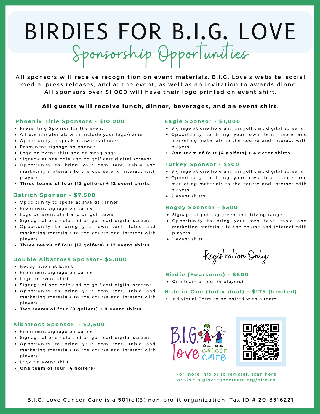# BIRDIES FOR B.I.G. LOVE Sponsorship Opportunities

All sponsors will receive recognition on event materials, B.I.G. Love's website, social media, press releases, and at the event, as well as an invitation to awards dinner. All sponsors over \$1,000 will have their logo printed on event shirt.

#### **All gues t s will receive lunch, dinner , beverages , and an event shi r t .**

#### **Phoenix Ti t le Sponsor s - \$10,000**

- Presenting Sponsor for the event
- All event materials with include your logo/name
- Opportunity to speak at awards dinner
- Prominent signage on banner
- Logo on event shirt and on swag bags
- Signage at one hole and on golf cart digital screens
- . Opportunity to bring your own tent, table and marketing materials to the course and interact with players
- **Three teams of four (12 g olfer s ) + 12 event shi r t s**

#### **Os t r ich Sponsor - \$7,500**

- Opportunity to speak at awards dinner
- Prominent signage on banner
- Logo on event shirt and on golf towel
- Signage at one hole and on golf cart digital screens
- . Opportunity to bring your own tent, table and marketing materials to the course and interact with players
- **Three teams of four (12 g olfer s ) + 12 event shi r t s**

#### **D ouble Albat ros s Sponsor - \$5,000**

- Recognition at Event
- Prominent signage on banner
- Logo on event shirt
- Signage at one hole and on golf cart digital screens
- . Opportunity to bring your own tent, table and marketing materials to the course and interact with player s
- **Two teams of four (8 g olfer s ) + 8 event shi r t s**

#### **Albat ros s Sponsor - \$2,500**

- Prominent signage on banner
- Signage at one hole and on golf cart digital screens
- . Opportunity to bring your own tent, table and marketing materials to the course and interact with players
- Logo on event shirt
- **One team of four (4 g olfer s )**

#### **Eagle Sponsor - \$1,000**

- Signage at one hole and on golf cart digital screens
- . Opportunity to bring your own tent, table and marketing materials to the course and interact with players
- **One team of four (4 g olfer s ) + 4 event shi r t s**

#### **Turkey Sponsor - \$500**

- Signage at one hole and on golf cart digital screens
- . Opportunity to bring your own tent, table and marketing materials to the course and interact with players
- 2 event shirts

#### **Bogey Sponsor - \$300**

- Signage at putting green and driving range
- . Opportunity to bring your own tent, table and marketing materials to the course and interact with players
- 1 event shirt

Registration Only:

#### **Bi rdie (Four some) - \$600**

• One team of four (4 players)

#### **H ole in One (Individual) - \$175 (limi ted)**

• Individual Entry to be paired with a team



For more info or to register, scan here or visit biglovecancercare.org/birdies